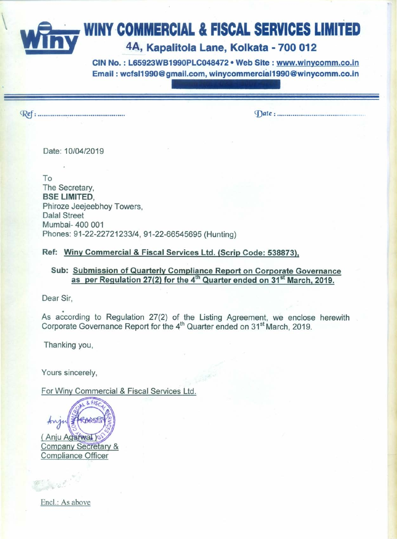WINY COMMERCIAL & FISCAL SERVICES LIMITED

## **4A, Kapalitola Lane, Kolkata - 700 012**

CIN No.: L65923WB1990PLC048472 • Web Site: www.winycomm.co.in Email: wcfsI1990@gmail.com.winycommerciaI1990@winycomm.co.in

~: . <])ate: .

Date: *10104/2019*

To The Secretary, BSE LIMITED, Phiroze Jeejeebhoy Towers, Dalal Street Mumbai- 400 001 Phones: *91-22-22721233/4,* 91-22-66545695 (Hunting)

Ref: Winy Commercial & Fiscal Services Ltd. (Scrip Code: 538873).

## Sub: Submission of Quarterly Compliance Report on Corporate Governance as per Regulation 27(2) for the  $4<sup>th</sup>$  Quarter ended on 31<sup>st</sup> March, 2019.

Dear Sir, .

As according to Regulation 27(2) of the Listing Agreement, we enclose herewith Corporate Governance Report for the 4<sup>th</sup> Quarter ended on 31<sup>st</sup> March, 2019.

Thanking you,

Yours sincerely,

For Winy Commercial & Fiscal Services Ltd.



Encl.: As above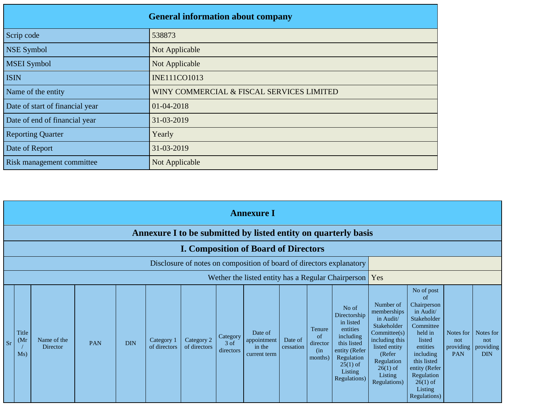|                                 | <b>General information about company</b>  |
|---------------------------------|-------------------------------------------|
| Scrip code                      | 538873                                    |
| <b>NSE Symbol</b>               | Not Applicable                            |
| <b>MSEI</b> Symbol              | Not Applicable                            |
| <b>ISIN</b>                     | <b>INE111CO1013</b>                       |
| Name of the entity              | WINY COMMERCIAL & FISCAL SERVICES LIMITED |
| Date of start of financial year | 01-04-2018                                |
| Date of end of financial year   | 31-03-2019                                |
| <b>Reporting Quarter</b>        | Yearly                                    |
| Date of Report                  | 31-03-2019                                |
| Risk management committee       | Not Applicable                            |

|           | <b>Annexure I</b>                                              |                         |            |            |                            |                            |                                 |                                                                      |                      |                                             |                                                                                                                                                    |                                                                                                                                                                                  |                                                                                                                                                                                                               |                                             |                                             |
|-----------|----------------------------------------------------------------|-------------------------|------------|------------|----------------------------|----------------------------|---------------------------------|----------------------------------------------------------------------|----------------------|---------------------------------------------|----------------------------------------------------------------------------------------------------------------------------------------------------|----------------------------------------------------------------------------------------------------------------------------------------------------------------------------------|---------------------------------------------------------------------------------------------------------------------------------------------------------------------------------------------------------------|---------------------------------------------|---------------------------------------------|
|           | Annexure I to be submitted by listed entity on quarterly basis |                         |            |            |                            |                            |                                 |                                                                      |                      |                                             |                                                                                                                                                    |                                                                                                                                                                                  |                                                                                                                                                                                                               |                                             |                                             |
|           |                                                                |                         |            |            |                            |                            |                                 | <b>I. Composition of Board of Directors</b>                          |                      |                                             |                                                                                                                                                    |                                                                                                                                                                                  |                                                                                                                                                                                                               |                                             |                                             |
|           |                                                                |                         |            |            |                            |                            |                                 | Disclosure of notes on composition of board of directors explanatory |                      |                                             |                                                                                                                                                    |                                                                                                                                                                                  |                                                                                                                                                                                                               |                                             |                                             |
|           |                                                                |                         |            |            |                            |                            |                                 |                                                                      |                      |                                             | Wether the listed entity has a Regular Chairperson   Yes                                                                                           |                                                                                                                                                                                  |                                                                                                                                                                                                               |                                             |                                             |
| <b>Sr</b> | Title<br>(Mr)<br>Ms)                                           | Name of the<br>Director | <b>PAN</b> | <b>DIN</b> | Category 1<br>of directors | Category 2<br>of directors | Category<br>$3$ of<br>directors | Date of<br>appointment<br>in the<br>current term                     | Date of<br>cessation | Tenure<br>of<br>director<br>(in)<br>months) | No of<br>Directorship<br>in listed<br>entities<br>including<br>this listed<br>entity (Refer<br>Regulation<br>$25(1)$ of<br>Listing<br>Regulations) | Number of<br>memberships<br>in Audit/<br>Stakeholder<br>Committee(s)<br>including this<br>listed entity<br>(Refer<br>Regulation<br>$26(1)$ of<br>Listing<br><b>Regulations</b> ) | No of post<br>of<br>Chairperson<br>in Audit/<br>Stakeholder<br>Committee<br>held in<br>listed<br>entities<br>including<br>this listed<br>entity (Refer<br>Regulation<br>$26(1)$ of<br>Listing<br>Regulations) | Notes for<br>not<br>providing<br><b>PAN</b> | Notes for<br>not<br>providing<br><b>DIN</b> |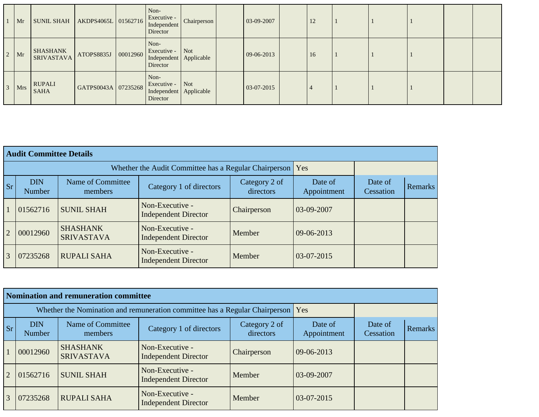| $\vert$ Mr | <b>SUNIL SHAH</b>             | AKDPS4065L 01562716 | Non-<br>Executive -<br>Independent<br>Director | Chairperson              | 03-09-2007 | 12            |  |  |  |
|------------|-------------------------------|---------------------|------------------------------------------------|--------------------------|------------|---------------|--|--|--|
| $2 \,$ Mr  | <b>SHASHANK</b><br>SRIVASTAVA | ATOPS8835J 00012960 | Non-<br>Executive -<br>Independent<br>Director | <b>Not</b><br>Applicable | 09-06-2013 | <sup>16</sup> |  |  |  |
| Mrs        | <b>RUPALI</b><br><b>SAHA</b>  | GATPS0043A 07235268 | Non-<br>Executive -<br>Independent<br>Director | Not<br>Applicable        | 03-07-2015 |               |  |  |  |

|                | <b>Audit Committee Details</b> |                                                           |                                                |                            |                        |                      |                |  |  |  |
|----------------|--------------------------------|-----------------------------------------------------------|------------------------------------------------|----------------------------|------------------------|----------------------|----------------|--|--|--|
|                |                                | Whether the Audit Committee has a Regular Chairperson Yes |                                                |                            |                        |                      |                |  |  |  |
| <b>Sr</b>      | <b>DIN</b><br><b>Number</b>    | Name of Committee<br>members                              | Category 1 of directors                        | Category 2 of<br>directors | Date of<br>Appointment | Date of<br>Cessation | <b>Remarks</b> |  |  |  |
|                | 01562716                       | <b>SUNIL SHAH</b>                                         | Non-Executive -<br><b>Independent Director</b> | Chairperson                | $ 03-09-2007$          |                      |                |  |  |  |
| $\overline{2}$ | 00012960                       | <b>SHASHANK</b><br><b>SRIVASTAVA</b>                      | Non-Executive -<br><b>Independent Director</b> | Member                     | $09-06-2013$           |                      |                |  |  |  |
| 3              | 07235268                       | <b>RUPALI SAHA</b>                                        | Non-Executive -<br><b>Independent Director</b> | Member                     | $ 03-07-2015$          |                      |                |  |  |  |

|                | <b>Nomination and remuneration committee</b> |                                                                                   |                                                |                            |                        |                      |         |  |  |  |  |  |
|----------------|----------------------------------------------|-----------------------------------------------------------------------------------|------------------------------------------------|----------------------------|------------------------|----------------------|---------|--|--|--|--|--|
|                |                                              | Whether the Nomination and remuneration committee has a Regular Chairperson   Yes |                                                |                            |                        |                      |         |  |  |  |  |  |
| <b>Sr</b>      | <b>DIN</b><br>Number                         | Name of Committee<br>members                                                      | Category 1 of directors                        | Category 2 of<br>directors | Date of<br>Appointment | Date of<br>Cessation | Remarks |  |  |  |  |  |
|                | 00012960                                     | <b>SHASHANK</b><br><b>SRIVASTAVA</b>                                              | Non-Executive -<br><b>Independent Director</b> | Chairperson                | 09-06-2013             |                      |         |  |  |  |  |  |
| $\overline{2}$ | 01562716                                     | <b>SUNIL SHAH</b>                                                                 | Non-Executive -<br><b>Independent Director</b> | Member                     | 03-09-2007             |                      |         |  |  |  |  |  |
| 3              | 07235268                                     | <b>RUPALI SAHA</b>                                                                | Non-Executive -<br><b>Independent Director</b> | Member                     | $03-07-2015$           |                      |         |  |  |  |  |  |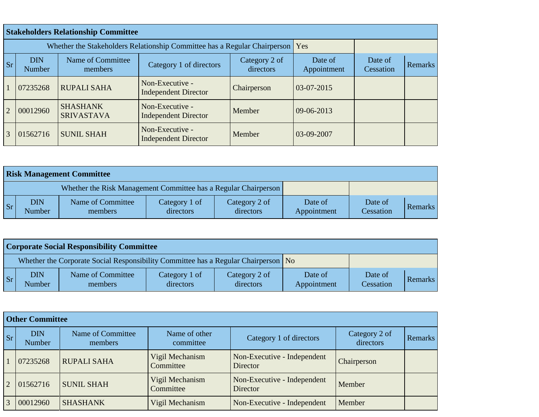|                | <b>Stakeholders Relationship Committee</b> |                                                                               |                                                |                      |                |  |  |  |  |  |
|----------------|--------------------------------------------|-------------------------------------------------------------------------------|------------------------------------------------|----------------------|----------------|--|--|--|--|--|
|                |                                            | Whether the Stakeholders Relationship Committee has a Regular Chairperson Yes |                                                |                      |                |  |  |  |  |  |
| <b>Sr</b>      | <b>DIN</b><br>Number                       | Name of Committee<br>members                                                  | Date of<br>Appointment                         | Date of<br>Cessation | <b>Remarks</b> |  |  |  |  |  |
|                | 07235268                                   | <b>RUPALI SAHA</b>                                                            | Non-Executive -<br><b>Independent Director</b> | Chairperson          | 03-07-2015     |  |  |  |  |  |
| $\overline{2}$ | 00012960                                   | <b>SHASHANK</b><br><b>SRIVASTAVA</b>                                          | Non-Executive -<br><b>Independent Director</b> | Member               | $09-06-2013$   |  |  |  |  |  |
| 3              | 01562716                                   | <b>SUNIL SHAH</b>                                                             | Non-Executive -<br><b>Independent Director</b> | Member               | 03-09-2007     |  |  |  |  |  |

|           | <b>Risk Management Committee</b> |                                                                 |                            |                            |                        |                      |         |  |  |  |  |
|-----------|----------------------------------|-----------------------------------------------------------------|----------------------------|----------------------------|------------------------|----------------------|---------|--|--|--|--|
|           |                                  | Whether the Risk Management Committee has a Regular Chairperson |                            |                            |                        |                      |         |  |  |  |  |
| <b>Sr</b> | <b>DIN</b><br>Number             | Name of Committee<br>members                                    | Category 1 of<br>directors | Category 2 of<br>directors | Date of<br>Appointment | Date of<br>Cessation | Remarks |  |  |  |  |

|           | <b>Corporate Social Responsibility Committee</b> |                                                                                    |                            |                            |                        |                      |         |  |  |
|-----------|--------------------------------------------------|------------------------------------------------------------------------------------|----------------------------|----------------------------|------------------------|----------------------|---------|--|--|
|           |                                                  | Whether the Corporate Social Responsibility Committee has a Regular Chairperson No |                            |                            |                        |                      |         |  |  |
| <b>Sr</b> | <b>DIN</b><br>Number                             | Name of Committee<br>members                                                       | Category 1 of<br>directors | Category 2 of<br>directors | Date of<br>Appointment | Date of<br>Cessation | Remarks |  |  |

|    | <b>Other Committee</b>      |                              |                              |                                         |                            |                |  |  |  |  |  |
|----|-----------------------------|------------------------------|------------------------------|-----------------------------------------|----------------------------|----------------|--|--|--|--|--|
| Sr | <b>DIN</b><br><b>Number</b> | Name of Committee<br>members | Name of other<br>committee   | Category 1 of directors                 | Category 2 of<br>directors | <b>Remarks</b> |  |  |  |  |  |
|    | 07235268                    | <b>RUPALI SAHA</b>           | Vigil Mechanism<br>Committee | Non-Executive - Independent<br>Director | Chairperson                |                |  |  |  |  |  |
| 2  | 01562716                    | <b>SUNIL SHAH</b>            | Vigil Mechanism<br>Committee | Non-Executive - Independent<br>Director | Member                     |                |  |  |  |  |  |
|    | 00012960                    | <b>SHASHANK</b>              | Vigil Mechanism              | Non-Executive - Independent             | Member                     |                |  |  |  |  |  |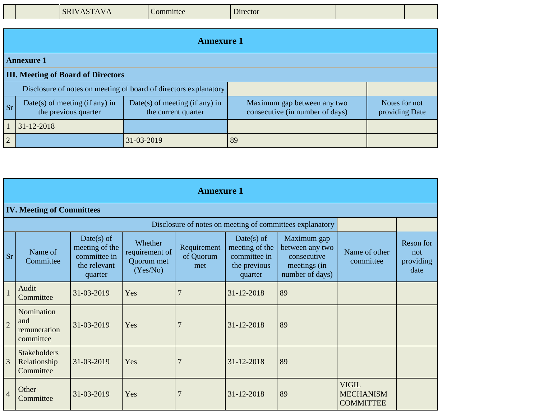| <b>SRIVASTAVA</b> |
|-------------------|
|                   |

|                | <b>Annexure 1</b>                                      |                                                                  |                                                                |                                 |  |  |  |  |  |  |
|----------------|--------------------------------------------------------|------------------------------------------------------------------|----------------------------------------------------------------|---------------------------------|--|--|--|--|--|--|
|                | <b>Annexure 1</b>                                      |                                                                  |                                                                |                                 |  |  |  |  |  |  |
|                | <b>III. Meeting of Board of Directors</b>              |                                                                  |                                                                |                                 |  |  |  |  |  |  |
|                |                                                        | Disclosure of notes on meeting of board of directors explanatory |                                                                |                                 |  |  |  |  |  |  |
| <b>Sr</b>      | Date(s) of meeting (if any) in<br>the previous quarter | Date(s) of meeting (if any) in<br>the current quarter            | Maximum gap between any two<br>consecutive (in number of days) | Notes for not<br>providing Date |  |  |  |  |  |  |
|                | $31 - 12 - 2018$                                       |                                                                  |                                                                |                                 |  |  |  |  |  |  |
| $\overline{2}$ |                                                        | 31-03-2019                                                       | 89                                                             |                                 |  |  |  |  |  |  |

|                | <b>Annexure 1</b>                                |                                                                           |                                                     |                                 |                                                                           |                                                                                  |                                                      |                                       |  |  |  |  |
|----------------|--------------------------------------------------|---------------------------------------------------------------------------|-----------------------------------------------------|---------------------------------|---------------------------------------------------------------------------|----------------------------------------------------------------------------------|------------------------------------------------------|---------------------------------------|--|--|--|--|
|                | <b>IV. Meeting of Committees</b>                 |                                                                           |                                                     |                                 |                                                                           |                                                                                  |                                                      |                                       |  |  |  |  |
|                |                                                  |                                                                           |                                                     |                                 |                                                                           | Disclosure of notes on meeting of committees explanatory                         |                                                      |                                       |  |  |  |  |
| <b>Sr</b>      | Name of<br>Committee                             | $Date(s)$ of<br>meeting of the<br>committee in<br>the relevant<br>quarter | Whether<br>requirement of<br>Quorum met<br>(Yes/No) | Requirement<br>of Quorum<br>met | $Date(s)$ of<br>meeting of the<br>committee in<br>the previous<br>quarter | Maximum gap<br>between any two<br>consecutive<br>meetings (in<br>number of days) | Name of other<br>committee                           | Reson for<br>not<br>providing<br>date |  |  |  |  |
| $\mathbf{1}$   | Audit<br>Committee                               | 31-03-2019                                                                | Yes                                                 | 7                               | 31-12-2018                                                                | 89                                                                               |                                                      |                                       |  |  |  |  |
| $\overline{2}$ | Nomination<br>and<br>remuneration<br>committee   | 31-03-2019                                                                | Yes                                                 | 7                               | 31-12-2018                                                                | 89                                                                               |                                                      |                                       |  |  |  |  |
| $\overline{3}$ | <b>Stakeholders</b><br>Relationship<br>Committee | 31-03-2019                                                                | Yes                                                 | 7                               | 31-12-2018                                                                | 89                                                                               |                                                      |                                       |  |  |  |  |
| $\overline{4}$ | Other<br>Committee                               | 31-03-2019                                                                | Yes                                                 |                                 | 31-12-2018                                                                | 89                                                                               | <b>VIGIL</b><br><b>MECHANISM</b><br><b>COMMITTEE</b> |                                       |  |  |  |  |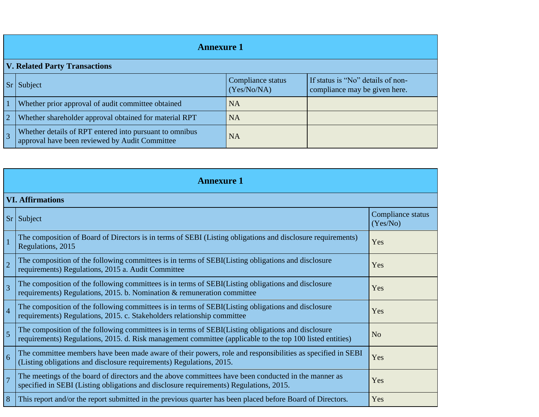|                | <b>Annexure 1</b>                                                                                         |                                  |                                                                    |  |  |
|----------------|-----------------------------------------------------------------------------------------------------------|----------------------------------|--------------------------------------------------------------------|--|--|
|                | <b>V. Related Party Transactions</b>                                                                      |                                  |                                                                    |  |  |
|                | Sr Subject                                                                                                | Compliance status<br>(Yes/No/NA) | If status is "No" details of non-<br>compliance may be given here. |  |  |
|                | Whether prior approval of audit committee obtained                                                        | <b>NA</b>                        |                                                                    |  |  |
| $\overline{2}$ | Whether shareholder approval obtained for material RPT                                                    | <b>NA</b>                        |                                                                    |  |  |
| $\overline{3}$ | Whether details of RPT entered into pursuant to omnibus<br>approval have been reviewed by Audit Committee | <b>NA</b>                        |                                                                    |  |  |

|                | <b>Annexure 1</b>                                                                                                                                                                                               |                               |  |  |
|----------------|-----------------------------------------------------------------------------------------------------------------------------------------------------------------------------------------------------------------|-------------------------------|--|--|
|                | <b>VI. Affirmations</b>                                                                                                                                                                                         |                               |  |  |
| $ S_{r} $      | Subject                                                                                                                                                                                                         | Compliance status<br>(Yes/No) |  |  |
| $\overline{1}$ | The composition of Board of Directors is in terms of SEBI (Listing obligations and disclosure requirements)<br>Regulations, 2015                                                                                | Yes                           |  |  |
| $\overline{2}$ | The composition of the following committees is in terms of SEBI(Listing obligations and disclosure<br>requirements) Regulations, 2015 a. Audit Committee                                                        | Yes                           |  |  |
| $\overline{3}$ | The composition of the following committees is in terms of SEBI(Listing obligations and disclosure<br>requirements) Regulations, 2015. b. Nomination & remuneration committee                                   | Yes                           |  |  |
| $\overline{4}$ | The composition of the following committees is in terms of SEBI(Listing obligations and disclosure<br>requirements) Regulations, 2015. c. Stakeholders relationship committee                                   | Yes                           |  |  |
| $\overline{5}$ | The composition of the following committees is in terms of SEBI(Listing obligations and disclosure<br>requirements) Regulations, 2015. d. Risk management committee (applicable to the top 100 listed entities) | N <sub>o</sub>                |  |  |
| $\overline{6}$ | The committee members have been made aware of their powers, role and responsibilities as specified in SEBI<br>(Listing obligations and disclosure requirements) Regulations, 2015.                              | Yes                           |  |  |
| $\overline{7}$ | The meetings of the board of directors and the above committees have been conducted in the manner as<br>specified in SEBI (Listing obligations and disclosure requirements) Regulations, 2015.                  | Yes                           |  |  |
| 8              | This report and/or the report submitted in the previous quarter has been placed before Board of Directors.                                                                                                      | Yes                           |  |  |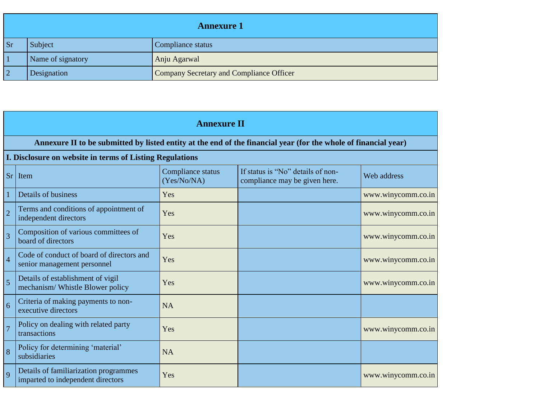|    | <b>Annexure 1</b> |                                          |  |  |
|----|-------------------|------------------------------------------|--|--|
| Sr | Subject           | Compliance status                        |  |  |
|    | Name of signatory | Anju Agarwal                             |  |  |
|    | Designation       | Company Secretary and Compliance Officer |  |  |

|                | <b>Annexure II</b>                                                                                                                                                          |                                  |                                                                    |                    |  |
|----------------|-----------------------------------------------------------------------------------------------------------------------------------------------------------------------------|----------------------------------|--------------------------------------------------------------------|--------------------|--|
|                | Annexure II to be submitted by listed entity at the end of the financial year (for the whole of financial year)<br>I. Disclosure on website in terms of Listing Regulations |                                  |                                                                    |                    |  |
|                | $Sr$ Item                                                                                                                                                                   | Compliance status<br>(Yes/No/NA) | If status is "No" details of non-<br>compliance may be given here. | Web address        |  |
|                | Details of business                                                                                                                                                         | Yes                              |                                                                    | www.winycomm.co.in |  |
| $\overline{2}$ | Terms and conditions of appointment of<br>independent directors                                                                                                             | Yes                              |                                                                    | www.winycomm.co.in |  |
| 3              | Composition of various committees of<br>board of directors                                                                                                                  | Yes                              |                                                                    | www.winycomm.co.in |  |
| $\overline{4}$ | Code of conduct of board of directors and<br>senior management personnel                                                                                                    | Yes                              |                                                                    | www.winycomm.co.in |  |
| 5              | Details of establishment of vigil<br>mechanism/Whistle Blower policy                                                                                                        | Yes                              |                                                                    | www.winycomm.co.in |  |
| 6              | Criteria of making payments to non-<br>executive directors                                                                                                                  | <b>NA</b>                        |                                                                    |                    |  |
|                | Policy on dealing with related party<br>transactions                                                                                                                        | Yes                              |                                                                    | www.winycomm.co.in |  |
| 8              | Policy for determining 'material'<br>subsidiaries                                                                                                                           | <b>NA</b>                        |                                                                    |                    |  |
| $\mathbf Q$    | Details of familiarization programmes<br>imparted to independent directors                                                                                                  | Yes                              |                                                                    | www.winycomm.co.in |  |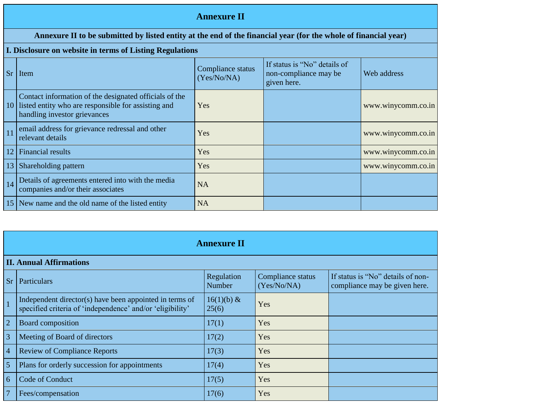|         |                                                                                                                                                  | <b>Annexure II</b>               |                                                                      |                    |
|---------|--------------------------------------------------------------------------------------------------------------------------------------------------|----------------------------------|----------------------------------------------------------------------|--------------------|
|         | Annexure II to be submitted by listed entity at the end of the financial year (for the whole of financial year)                                  |                                  |                                                                      |                    |
|         | I. Disclosure on website in terms of Listing Regulations                                                                                         |                                  |                                                                      |                    |
| $S_{r}$ | Item                                                                                                                                             | Compliance status<br>(Yes/No/NA) | If status is "No" details of<br>non-compliance may be<br>given here. | Web address        |
|         | Contact information of the designated officials of the<br>10 listed entity who are responsible for assisting and<br>handling investor grievances | Yes                              |                                                                      | www.winycomm.co.in |
| 11      | email address for grievance redressal and other<br>relevant details                                                                              | Yes                              |                                                                      | www.winycomm.co.in |
| 12      | <b>Financial results</b>                                                                                                                         | Yes                              |                                                                      | www.winycomm.co.in |
|         | 13 Shareholding pattern                                                                                                                          | Yes                              |                                                                      | www.winycomm.co.in |
| 14      | Details of agreements entered into with the media<br>companies and/or their associates                                                           | <b>NA</b>                        |                                                                      |                    |
|         | 15 New name and the old name of the listed entity                                                                                                | <b>NA</b>                        |                                                                      |                    |

|                 | <b>Annexure II</b>                                                                                                   |                             |                                  |                                                                    |  |  |
|-----------------|----------------------------------------------------------------------------------------------------------------------|-----------------------------|----------------------------------|--------------------------------------------------------------------|--|--|
|                 | <b>II. Annual Affirmations</b>                                                                                       |                             |                                  |                                                                    |  |  |
| <b>Sr</b>       | Particulars                                                                                                          | Regulation<br><b>Number</b> | Compliance status<br>(Yes/No/NA) | If status is "No" details of non-<br>compliance may be given here. |  |  |
|                 | Independent director(s) have been appointed in terms of<br>specified criteria of 'independence' and/or 'eligibility' | $16(1)(b)$ &<br>25(6)       | Yes                              |                                                                    |  |  |
| $\overline{2}$  | Board composition                                                                                                    | 17(1)                       | Yes                              |                                                                    |  |  |
| 3               | Meeting of Board of directors                                                                                        | 17(2)                       | Yes                              |                                                                    |  |  |
| $\overline{4}$  | <b>Review of Compliance Reports</b>                                                                                  | 17(3)                       | Yes                              |                                                                    |  |  |
| 5               | Plans for orderly succession for appointments                                                                        | 17(4)                       | Yes                              |                                                                    |  |  |
| 6               | Code of Conduct                                                                                                      | 17(5)                       | Yes                              |                                                                    |  |  |
| $7\phantom{.0}$ | Fees/compensation                                                                                                    | 17(6)                       | Yes                              |                                                                    |  |  |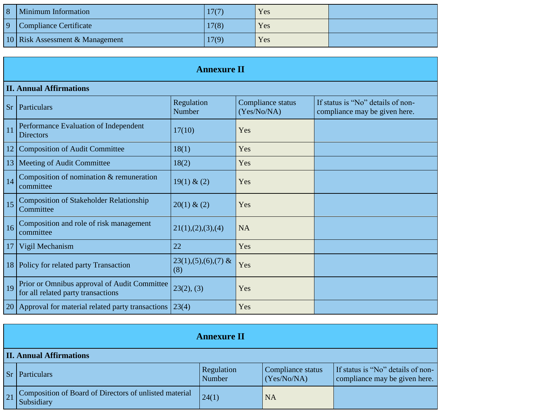| 8   | <b>Minimum Information</b>      | 17(7) | Yes |  |
|-----|---------------------------------|-------|-----|--|
| l Q | Compliance Certificate          | '7(8) | Yes |  |
|     | 10 Risk Assessment & Management | 7(9)  | Yes |  |

|           | <b>Annexure II</b>                                                                 |                                 |                                  |                                                                    |  |  |
|-----------|------------------------------------------------------------------------------------|---------------------------------|----------------------------------|--------------------------------------------------------------------|--|--|
|           | <b>II. Annual Affirmations</b>                                                     |                                 |                                  |                                                                    |  |  |
| <b>Sr</b> | Particulars                                                                        | Regulation<br>Number            | Compliance status<br>(Yes/No/NA) | If status is "No" details of non-<br>compliance may be given here. |  |  |
| 11        | Performance Evaluation of Independent<br>Directors                                 | 17(10)                          | Yes                              |                                                                    |  |  |
| 12        | <b>Composition of Audit Committee</b>                                              | 18(1)                           | Yes                              |                                                                    |  |  |
| 13        | Meeting of Audit Committee                                                         | 18(2)                           | Yes                              |                                                                    |  |  |
| 14        | Composition of nomination & remuneration<br>committee                              | 19(1) & (2)                     | Yes                              |                                                                    |  |  |
| 15        | <b>Composition of Stakeholder Relationship</b><br>Committee                        | 20(1) & (2)                     | Yes                              |                                                                    |  |  |
| 16        | Composition and role of risk management<br>committee                               | 21(1), (2), (3), (4)            | <b>NA</b>                        |                                                                    |  |  |
| 17        | Vigil Mechanism                                                                    | 22                              | Yes                              |                                                                    |  |  |
|           | 18 Policy for related party Transaction                                            | $23(1), (5), (6), (7)$ &<br>(8) | Yes                              |                                                                    |  |  |
| 19        | Prior or Omnibus approval of Audit Committee<br>for all related party transactions | 23(2), (3)                      | Yes                              |                                                                    |  |  |
|           | 20 Approval for material related party transactions                                | 23(4)                           | Yes                              |                                                                    |  |  |

|    |                                                                      | <b>Annexure II</b>   |                                  |                                                                    |
|----|----------------------------------------------------------------------|----------------------|----------------------------------|--------------------------------------------------------------------|
|    | <b>II. Annual Affirmations</b>                                       |                      |                                  |                                                                    |
|    | Sr   Particulars                                                     | Regulation<br>Number | Compliance status<br>(Yes/No/NA) | If status is "No" details of non-<br>compliance may be given here. |
| 21 | Composition of Board of Directors of unlisted material<br>Subsidiary | 24(1)                | <b>NA</b>                        |                                                                    |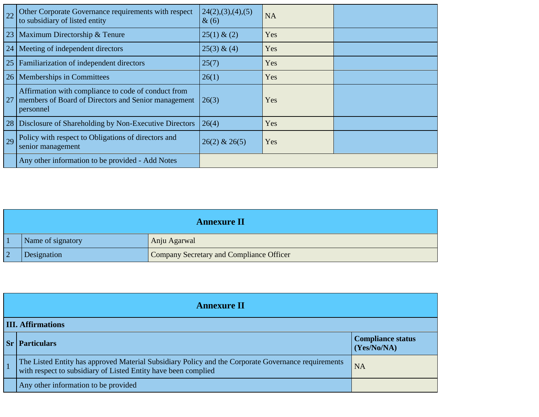| 22        | Other Corporate Governance requirements with respect<br>to subsidiary of listed entity                                  | 24(2),(3),(4),(5)<br>$\&(6)$ | <b>NA</b> |  |
|-----------|-------------------------------------------------------------------------------------------------------------------------|------------------------------|-----------|--|
| 23        | Maximum Directorship & Tenure                                                                                           | 25(1) & (2)                  | Yes       |  |
| 24        | Meeting of independent directors                                                                                        | 25(3) & (4)                  | Yes       |  |
| <b>25</b> | Familiarization of independent directors                                                                                | 25(7)                        | Yes       |  |
| 26        | Memberships in Committees                                                                                               | 26(1)                        | Yes       |  |
| -27       | Affirmation with compliance to code of conduct from<br>members of Board of Directors and Senior management<br>personnel | 26(3)                        | Yes       |  |
| 28        | Disclosure of Shareholding by Non-Executive Directors                                                                   | 26(4)                        | Yes       |  |
| 29        | Policy with respect to Obligations of directors and<br>senior management                                                | $26(2)$ & $26(5)$            | Yes       |  |
|           | Any other information to be provided - Add Notes                                                                        |                              |           |  |

|                | <b>Annexure II</b> |                                          |  |  |
|----------------|--------------------|------------------------------------------|--|--|
|                | Name of signatory  | Anju Agarwal                             |  |  |
| $\overline{2}$ | Designation        | Company Secretary and Compliance Officer |  |  |

| <b>Annexure II</b>                                                                                                                                                    |                                         |  |  |
|-----------------------------------------------------------------------------------------------------------------------------------------------------------------------|-----------------------------------------|--|--|
| <b>III.</b> Affirmations                                                                                                                                              |                                         |  |  |
| <b>Sr</b>   Particulars                                                                                                                                               | <b>Compliance status</b><br>(Yes/No/NA) |  |  |
| The Listed Entity has approved Material Subsidiary Policy and the Corporate Governance requirements<br>with respect to subsidiary of Listed Entity have been complied | <b>NA</b>                               |  |  |
| Any other information to be provided                                                                                                                                  |                                         |  |  |